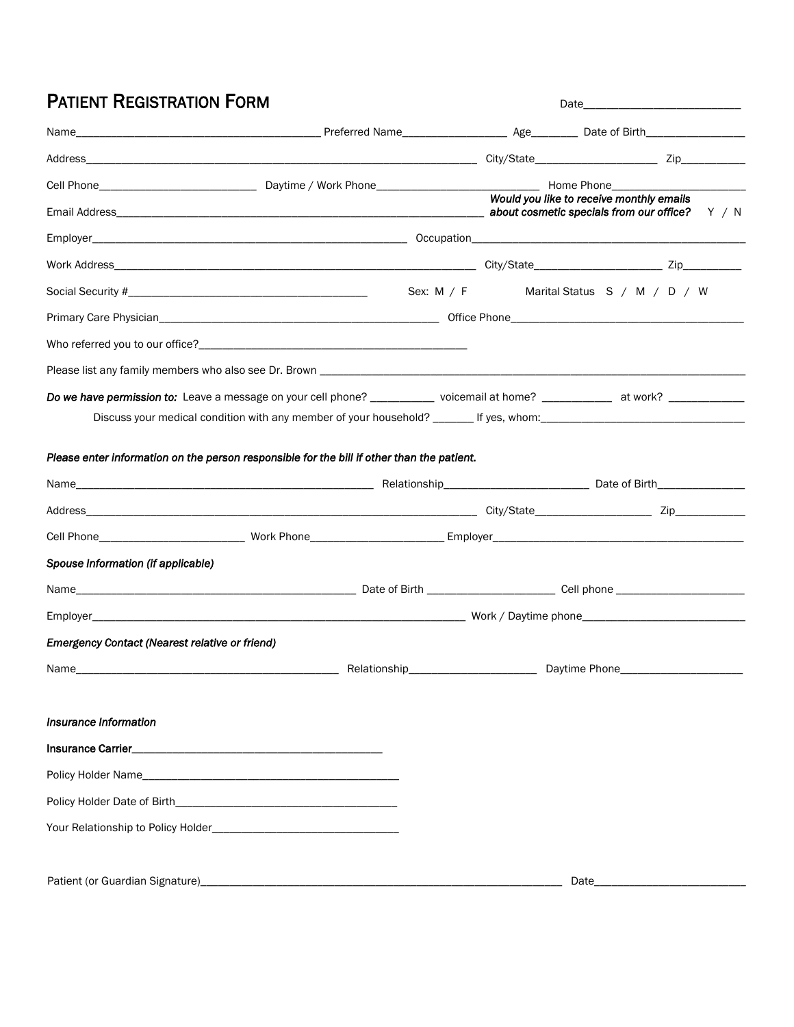## PATIENT REGISTRATION FORM Date\_\_\_\_\_\_\_\_\_\_\_\_\_\_\_\_\_\_\_\_\_\_\_\_\_\_\_

|                                                                                                                           |  | Would you like to receive monthly emails |  |
|---------------------------------------------------------------------------------------------------------------------------|--|------------------------------------------|--|
|                                                                                                                           |  |                                          |  |
|                                                                                                                           |  |                                          |  |
|                                                                                                                           |  | Sex: M / F Marital Status S / M / D / W  |  |
|                                                                                                                           |  |                                          |  |
|                                                                                                                           |  |                                          |  |
|                                                                                                                           |  |                                          |  |
| Do we have permission to: Leave a message on your cell phone? ________ voicemail at home? _________ at work? ____________ |  |                                          |  |
| Discuss your medical condition with any member of your household? ______ If yes, whom: _______________________            |  |                                          |  |
|                                                                                                                           |  |                                          |  |
| Please enter information on the person responsible for the bill if other than the patient.                                |  |                                          |  |
|                                                                                                                           |  |                                          |  |
|                                                                                                                           |  |                                          |  |
|                                                                                                                           |  |                                          |  |
| Spouse Information (if applicable)                                                                                        |  |                                          |  |
|                                                                                                                           |  |                                          |  |
|                                                                                                                           |  |                                          |  |
| <b>Emergency Contact (Nearest relative or friend)</b>                                                                     |  |                                          |  |
|                                                                                                                           |  | Daytime Phone______________________      |  |
|                                                                                                                           |  |                                          |  |
| Insurance Information                                                                                                     |  |                                          |  |
|                                                                                                                           |  |                                          |  |
|                                                                                                                           |  |                                          |  |
|                                                                                                                           |  |                                          |  |
|                                                                                                                           |  |                                          |  |
|                                                                                                                           |  |                                          |  |
|                                                                                                                           |  | Date                                     |  |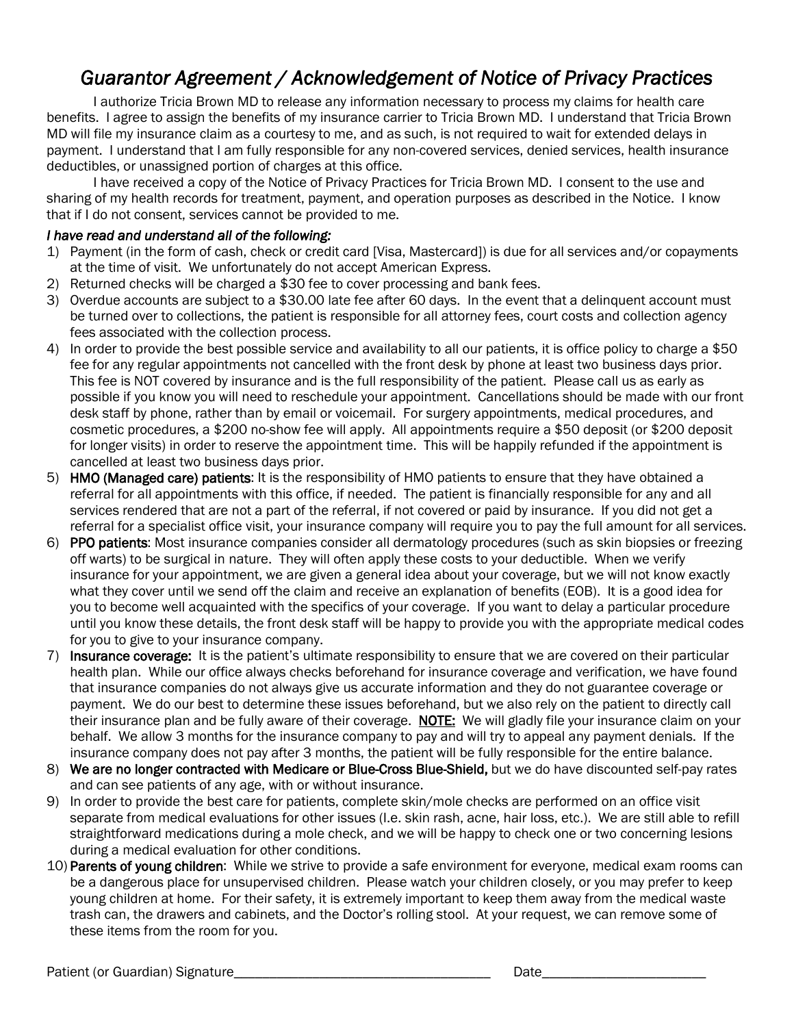## *Guarantor Agreement / Acknowledgement of Notice of Privacy Practices*

I authorize Tricia Brown MD to release any information necessary to process my claims for health care benefits. I agree to assign the benefits of my insurance carrier to Tricia Brown MD. I understand that Tricia Brown MD will file my insurance claim as a courtesy to me, and as such, is not required to wait for extended delays in payment. I understand that I am fully responsible for any non-covered services, denied services, health insurance deductibles, or unassigned portion of charges at this office.

I have received a copy of the Notice of Privacy Practices for Tricia Brown MD. I consent to the use and sharing of my health records for treatment, payment, and operation purposes as described in the Notice. Iknow that if I do not consent, services cannot be provided to me.

## *I have read and understand all of the following:*

- 1) Payment (in the form of cash, check or credit card [Visa, Mastercard]) is due for all services and/or copayments at the time of visit. We unfortunately do not accept American Express.
- 2) Returned checks will be charged a \$30 fee to cover processing and bank fees.
- 3) Overdue accounts are subject to a \$30.00 late fee after 60 days. In the event that a delinquent account must be turned over to collections, the patient is responsible for all attorney fees, court costs and collection agency fees associated with the collection process.
- 4) In order to provide the best possible service and availability to all our patients, it is office policy to charge a \$50 fee for any regular appointments not cancelled with the front desk by phone at least two business days prior. This fee is NOT covered by insurance and is the full responsibility of the patient. Please call us as early as possible if you know you will need to reschedule your appointment. Cancellations should be made with ourfront desk staff by phone, rather than by email or voicemail. For surgery appointments, medical procedures, and cosmetic procedures, a \$200 no-show fee will apply. All appointments require a \$50 deposit (or \$200 deposit for longer visits) in order to reserve the appointment time. This will be happily refunded if the appointment is cancelled at least two business days prior.
- 5) HMO (Managed care) patients: It is the responsibility of HMO patients to ensure that they have obtained a referral for all appointments with this office, if needed. The patient is financially responsible for any and all services rendered that are not a part of the referral, if not covered or paid by insurance. If you did not get a referral for a specialist office visit, your insurance company will require you to pay the full amount for all services.
- 6) PPO patients: Most insurance companies consider all dermatology procedures (such as skin biopsies or freezing off warts) to be surgical in nature. They will often apply these costs to your deductible. When we verify insurance for your appointment, we are given a general idea about your coverage, but we will not know exactly what they cover until we send off the claim and receive an explanation of benefits (EOB). It is a good idea for you to become well acquainted with the specifics of your coverage. If you want to delay a particular procedure until you know these details, the front desk staff will be happy to provide you with the appropriate medical codes for you to give to your insurance company.
- 7) Insurance coverage: It is the patient's ultimate responsibility to ensure that we are covered on their particular health plan. While our office always checks beforehand for insurance coverage and verification, we have found that insurance companies do not always give us accurate information and they do not guarantee coverage or payment. We do our best to determine these issues beforehand, but we also rely on the patient to directly call their insurance plan and be fully aware of their coverage. NOTE: We will gladly file your insurance claim on your behalf. We allow 3 months for the insurance company to pay and will try to appeal any payment denials. If the insurance company does not pay after 3 months, the patient will be fullyresponsible for the entire balance.
- 8) We are no longer contracted with Medicare or Blue-Cross Blue-Shield, but we do have discounted self-pay rates and can see patients of any age, with or without insurance.
- 9) In order to provide the best care for patients, complete skin/mole checks are performed on an office visit separate from medical evaluations for other issues (I.e. skin rash, acne, hair loss, etc.). We are still able to refill straightforward medications during a mole check, and we will be happy to check one or two concerning lesions during a medical evaluation for other conditions.
- 10) Parents of young children: While we strive to provide a safe environment for everyone, medical exam rooms can be a dangerous place for unsupervised children. Please watch your children closely, or you may prefer to keep young children at home. For their safety, it is extremely important to keep them away from the medical waste trash can, the drawers and cabinets, and the Doctor's rolling stool. At your request, we can remove some of these items from the room for you.